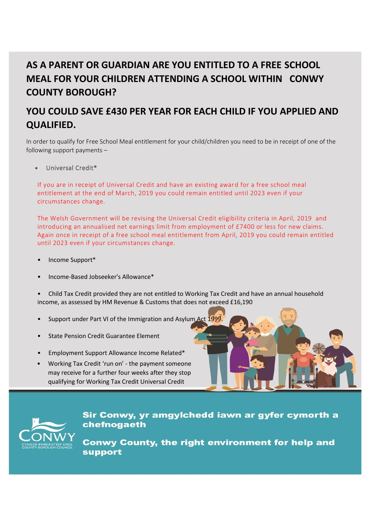## **AS A PARENT OR GUARDIAN ARE YOU ENTITLED TO A FREE SCHOOL MEAL FOR YOUR CHILDREN ATTENDING A SCHOOL WITHIN CONWY COUNTY BOROUGH?**

## **YOU COULD SAVE £430 PER YEAR FOR EACH CHILD IF YOU APPLIED AND QUALIFIED.**

In order to qualify for Free School Meal entitlement for your child/children you need to be in receipt of one of the following support payments –

Universal Credit\*

If you are in receipt of Universal Credit and have an existing award for a free school meal entitlement at the end of March, 2019 you could remain entitled until 2023 even if your circumstances change.

The Welsh Government will be revising the Universal Credit eligibility criteria in April, 2019 and introducing an annualised net earnings limit from employment of £7400 or less for new claims. Again once in receipt of a free school meal entitlement from April, 2019 you could remain entitled until 2023 even if your circumstances change.

- Income Support\*
- Income-Based Jobseeker's Allowance\*

• Child Tax Credit provided they are not entitled to Working Tax Credit and have an annual household income, as assessed by HM Revenue & Customs that does not exceed £16,190

- Support under Part VI of the Immigration and Asylum Act 1999
- State Pension Credit Guarantee Element
- Employment Support Allowance Income Related\*
- Working Tax Credit 'run on' the payment someone may receive for a further four weeks after they stop qualifying for Working Tax Credit Universal Credit





Sir Conwy, yr amgylchedd iawn ar gyfer cymorth a chefnogaeth

**Conwy County, the right environment for help and support**